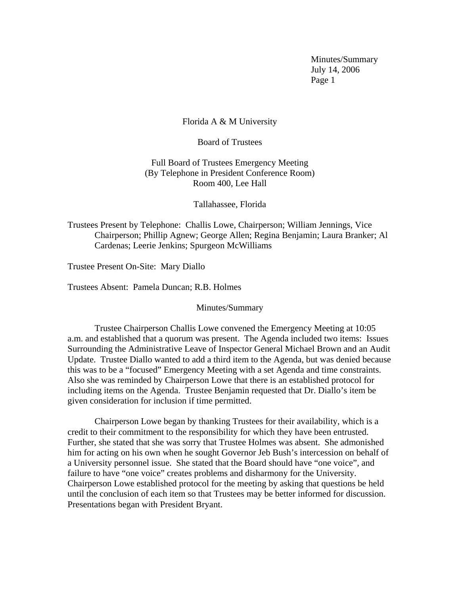Minutes/Summary July 14, 2006 Page 1

## Florida A & M University

Board of Trustees

Full Board of Trustees Emergency Meeting (By Telephone in President Conference Room) Room 400, Lee Hall

Tallahassee, Florida

Trustees Present by Telephone: Challis Lowe, Chairperson; William Jennings, Vice Chairperson; Phillip Agnew; George Allen; Regina Benjamin; Laura Branker; Al Cardenas; Leerie Jenkins; Spurgeon McWilliams

Trustee Present On-Site: Mary Diallo

Trustees Absent: Pamela Duncan; R.B. Holmes

Minutes/Summary

 Trustee Chairperson Challis Lowe convened the Emergency Meeting at 10:05 a.m. and established that a quorum was present. The Agenda included two items: Issues Surrounding the Administrative Leave of Inspector General Michael Brown and an Audit Update. Trustee Diallo wanted to add a third item to the Agenda, but was denied because this was to be a "focused" Emergency Meeting with a set Agenda and time constraints. Also she was reminded by Chairperson Lowe that there is an established protocol for including items on the Agenda. Trustee Benjamin requested that Dr. Diallo's item be given consideration for inclusion if time permitted.

 Chairperson Lowe began by thanking Trustees for their availability, which is a credit to their commitment to the responsibility for which they have been entrusted. Further, she stated that she was sorry that Trustee Holmes was absent. She admonished him for acting on his own when he sought Governor Jeb Bush's intercession on behalf of a University personnel issue. She stated that the Board should have "one voice", and failure to have "one voice" creates problems and disharmony for the University. Chairperson Lowe established protocol for the meeting by asking that questions be held until the conclusion of each item so that Trustees may be better informed for discussion. Presentations began with President Bryant.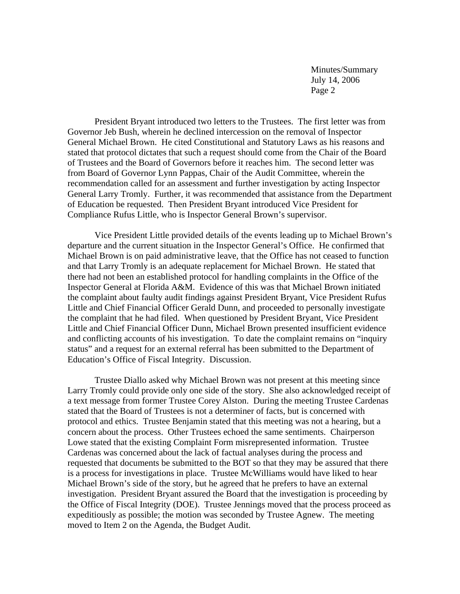Minutes/Summary July 14, 2006 Page 2

 President Bryant introduced two letters to the Trustees. The first letter was from Governor Jeb Bush, wherein he declined intercession on the removal of Inspector General Michael Brown. He cited Constitutional and Statutory Laws as his reasons and stated that protocol dictates that such a request should come from the Chair of the Board of Trustees and the Board of Governors before it reaches him. The second letter was from Board of Governor Lynn Pappas, Chair of the Audit Committee, wherein the recommendation called for an assessment and further investigation by acting Inspector General Larry Tromly. Further, it was recommended that assistance from the Department of Education be requested. Then President Bryant introduced Vice President for Compliance Rufus Little, who is Inspector General Brown's supervisor.

 Vice President Little provided details of the events leading up to Michael Brown's departure and the current situation in the Inspector General's Office. He confirmed that Michael Brown is on paid administrative leave, that the Office has not ceased to function and that Larry Tromly is an adequate replacement for Michael Brown. He stated that there had not been an established protocol for handling complaints in the Office of the Inspector General at Florida A&M. Evidence of this was that Michael Brown initiated the complaint about faulty audit findings against President Bryant, Vice President Rufus Little and Chief Financial Officer Gerald Dunn, and proceeded to personally investigate the complaint that he had filed. When questioned by President Bryant, Vice President Little and Chief Financial Officer Dunn, Michael Brown presented insufficient evidence and conflicting accounts of his investigation. To date the complaint remains on "inquiry status" and a request for an external referral has been submitted to the Department of Education's Office of Fiscal Integrity. Discussion.

 Trustee Diallo asked why Michael Brown was not present at this meeting since Larry Tromly could provide only one side of the story. She also acknowledged receipt of a text message from former Trustee Corey Alston. During the meeting Trustee Cardenas stated that the Board of Trustees is not a determiner of facts, but is concerned with protocol and ethics. Trustee Benjamin stated that this meeting was not a hearing, but a concern about the process. Other Trustees echoed the same sentiments. Chairperson Lowe stated that the existing Complaint Form misrepresented information. Trustee Cardenas was concerned about the lack of factual analyses during the process and requested that documents be submitted to the BOT so that they may be assured that there is a process for investigations in place. Trustee McWilliams would have liked to hear Michael Brown's side of the story, but he agreed that he prefers to have an external investigation. President Bryant assured the Board that the investigation is proceeding by the Office of Fiscal Integrity (DOE). Trustee Jennings moved that the process proceed as expeditiously as possible; the motion was seconded by Trustee Agnew. The meeting moved to Item 2 on the Agenda, the Budget Audit.